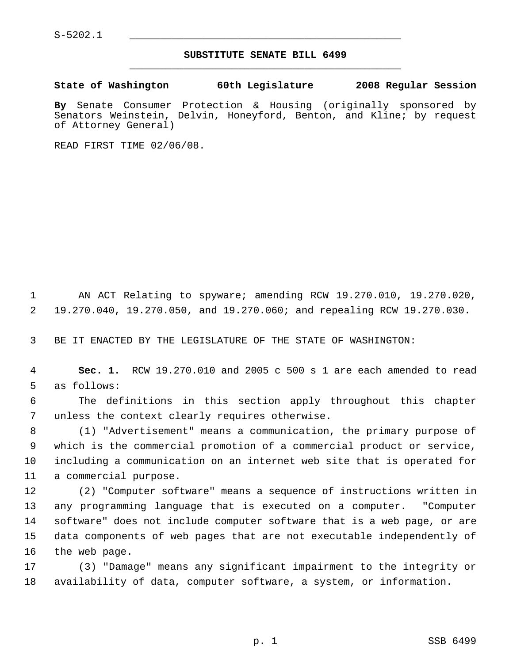S-5202.1 \_\_\_\_\_\_\_\_\_\_\_\_\_\_\_\_\_\_\_\_\_\_\_\_\_\_\_\_\_\_\_\_\_\_\_\_\_\_\_\_\_\_\_\_\_

## **SUBSTITUTE SENATE BILL 6499** \_\_\_\_\_\_\_\_\_\_\_\_\_\_\_\_\_\_\_\_\_\_\_\_\_\_\_\_\_\_\_\_\_\_\_\_\_\_\_\_\_\_\_\_\_

**State of Washington 60th Legislature 2008 Regular Session**

**By** Senate Consumer Protection & Housing (originally sponsored by Senators Weinstein, Delvin, Honeyford, Benton, and Kline; by request of Attorney General)

READ FIRST TIME 02/06/08.

 AN ACT Relating to spyware; amending RCW 19.270.010, 19.270.020, 19.270.040, 19.270.050, and 19.270.060; and repealing RCW 19.270.030.

BE IT ENACTED BY THE LEGISLATURE OF THE STATE OF WASHINGTON:

 **Sec. 1.** RCW 19.270.010 and 2005 c 500 s 1 are each amended to read as follows:

 The definitions in this section apply throughout this chapter unless the context clearly requires otherwise.

 (1) "Advertisement" means a communication, the primary purpose of which is the commercial promotion of a commercial product or service, including a communication on an internet web site that is operated for a commercial purpose.

 (2) "Computer software" means a sequence of instructions written in any programming language that is executed on a computer. "Computer software" does not include computer software that is a web page, or are data components of web pages that are not executable independently of the web page.

 (3) "Damage" means any significant impairment to the integrity or availability of data, computer software, a system, or information.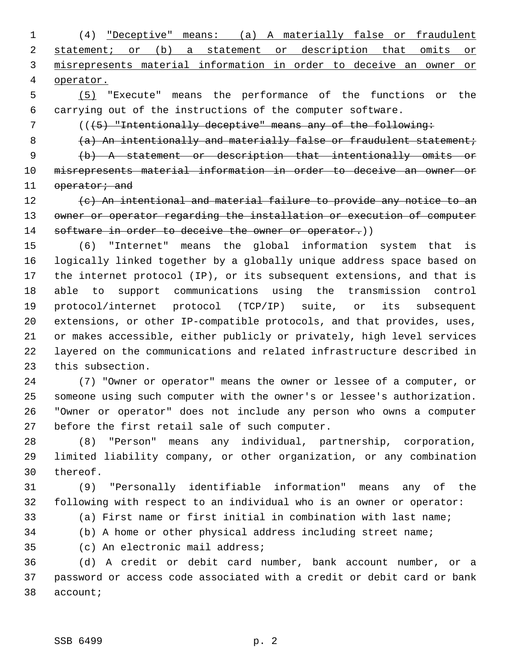(4) "Deceptive" means: (a) A materially false or fraudulent 2 statement; or (b) a statement or description that omits or misrepresents material information in order to deceive an owner or operator.

 (5) "Execute" means the performance of the functions or the carrying out of the instructions of the computer software.

7 (( $(5)$  "Intentionally deceptive" means any of the following:

8 (a) An intentionally and materially false or fraudulent statement;

 (b) A statement or description that intentionally omits or misrepresents material information in order to deceive an owner or 11 operator; and

 (c) An intentional and material failure to provide any notice to an 13 owner or operator regarding the installation or execution of computer 14 software in order to deceive the owner or operator.))

 (6) "Internet" means the global information system that is logically linked together by a globally unique address space based on the internet protocol (IP), or its subsequent extensions, and that is able to support communications using the transmission control protocol/internet protocol (TCP/IP) suite, or its subsequent extensions, or other IP-compatible protocols, and that provides, uses, or makes accessible, either publicly or privately, high level services layered on the communications and related infrastructure described in this subsection.

 (7) "Owner or operator" means the owner or lessee of a computer, or someone using such computer with the owner's or lessee's authorization. "Owner or operator" does not include any person who owns a computer before the first retail sale of such computer.

 (8) "Person" means any individual, partnership, corporation, limited liability company, or other organization, or any combination thereof.

 (9) "Personally identifiable information" means any of the following with respect to an individual who is an owner or operator:

(a) First name or first initial in combination with last name;

(b) A home or other physical address including street name;

(c) An electronic mail address;

 (d) A credit or debit card number, bank account number, or a password or access code associated with a credit or debit card or bank account;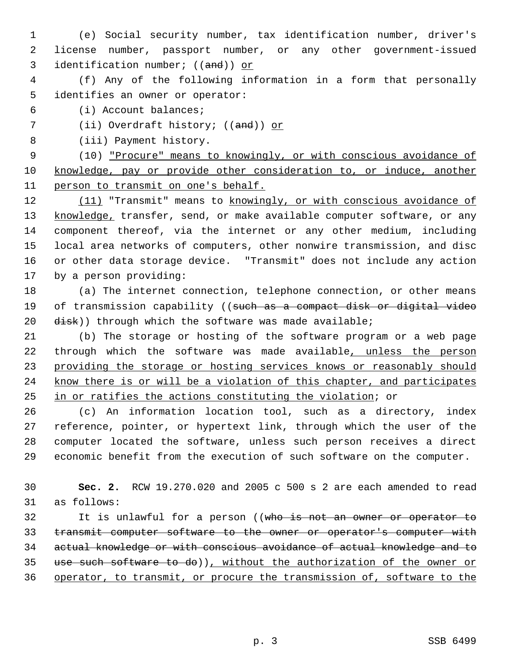- (e) Social security number, tax identification number, driver's license number, passport number, or any other government-issued 3 identification number; ((and)) or
- (f) Any of the following information in a form that personally identifies an owner or operator:
- (i) Account balances;
- 7 (ii) Overdraft history; ((and)) or
- (iii) Payment history.

 (10) "Procure" means to knowingly, or with conscious avoidance of knowledge, pay or provide other consideration to, or induce, another person to transmit on one's behalf.

12 (11) "Transmit" means to knowingly, or with conscious avoidance of 13 knowledge, transfer, send, or make available computer software, or any component thereof, via the internet or any other medium, including local area networks of computers, other nonwire transmission, and disc or other data storage device. "Transmit" does not include any action by a person providing:

- (a) The internet connection, telephone connection, or other means 19 of transmission capability ((such as a compact disk or digital video disk)) through which the software was made available;
- (b) The storage or hosting of the software program or a web page 22 through which the software was made available, unless the person providing the storage or hosting services knows or reasonably should know there is or will be a violation of this chapter, and participates in or ratifies the actions constituting the violation; or

 (c) An information location tool, such as a directory, index reference, pointer, or hypertext link, through which the user of the computer located the software, unless such person receives a direct economic benefit from the execution of such software on the computer.

 **Sec. 2.** RCW 19.270.020 and 2005 c 500 s 2 are each amended to read as follows:

32 It is unlawful for a person ((who is not an owner or operator to 33 transmit computer software to the owner or operator's computer with actual knowledge or with conscious avoidance of actual knowledge and to use such software to do)), without the authorization of the owner or operator, to transmit, or procure the transmission of, software to the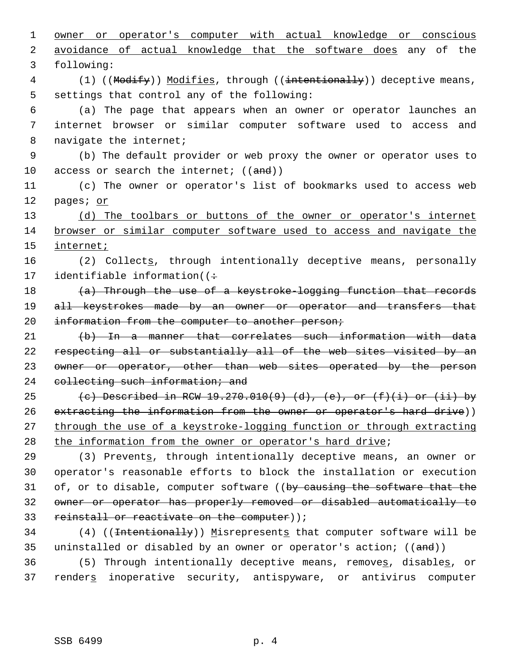1 owner or operator's computer with actual knowledge or conscious 2 avoidance of actual knowledge that the software does any of the 3 following: 4 (1) ((Modify)) Modifies, through ((intentionally)) deceptive means, 5 settings that control any of the following: 6 (a) The page that appears when an owner or operator launches an 7 internet browser or similar computer software used to access and 8 navigate the internet; 9 (b) The default provider or web proxy the owner or operator uses to 10 access or search the internet;  $((and))$ 11 (c) The owner or operator's list of bookmarks used to access web 12 pages; or 13 (d) The toolbars or buttons of the owner or operator's internet 14 browser or similar computer software used to access and navigate the 15 internet; 16 (2) Collects, through intentionally deceptive means, personally 17 identifiable information( $($ 18 (a) Through the use of a keystroke-logging function that records 19 all keystrokes made by an owner or operator and transfers that 20 information from the computer to another person; 21 (b) In a manner that correlates such information with data 22 respecting all or substantially all of the web sites visited by an 23 owner or operator, other than web sites operated by the person 24 collecting such information; and 25 (c) Described in RCW 19.270.010(9) (d), (e), or  $(f)(i)$  or (ii) by 26 extracting the information from the owner or operator's hard drive)) 27 through the use of a keystroke-logging function or through extracting 28 the information from the owner or operator's hard drive; 29 (3) Prevents, through intentionally deceptive means, an owner or 30 operator's reasonable efforts to block the installation or execution 31 of, or to disable, computer software ((by causing the software that the 32 owner or operator has properly removed or disabled automatically to 33 reinstall or reactivate on the computer)); 34 (4) ((<del>Intentionally</del>)) Misrepresents that computer software will be 35 uninstalled or disabled by an owner or operator's action; ((and))

36 (5) Through intentionally deceptive means, removes, disables, or 37 renders inoperative security, antispyware, or antivirus computer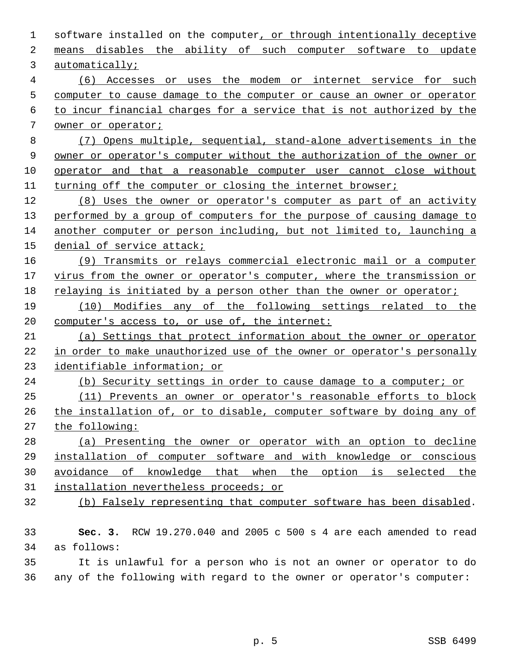| 1              | software installed on the computer, or through intentionally deceptive  |
|----------------|-------------------------------------------------------------------------|
| 2              | means disables the ability of such computer software to update          |
| 3              | automatically;                                                          |
| $\overline{4}$ | (6) Accesses or uses the modem or internet service for such             |
| 5              | computer to cause damage to the computer or cause an owner or operator  |
| 6              | to incur financial charges for a service that is not authorized by the  |
| 7              | owner or operator;                                                      |
| 8              | (7) Opens multiple, sequential, stand-alone advertisements in the       |
| 9              | owner or operator's computer without the authorization of the owner or  |
| 10             | operator and that a reasonable computer user cannot close without       |
| 11             | turning off the computer or closing the internet browser;               |
| 12             | (8) Uses the owner or operator's computer as part of an activity        |
| 13             | performed by a group of computers for the purpose of causing damage to  |
| 14             | another computer or person including, but not limited to, launching a   |
| 15             | denial of service attack;                                               |
| 16             | (9) Transmits or relays commercial electronic mail or a computer        |
| 17             | virus from the owner or operator's computer, where the transmission or  |
| 18             | relaying is initiated by a person other than the owner or operator;     |
| 19             | (10) Modifies any of the following settings related to the              |
| 20             | computer's access to, or use of, the internet:                          |
| 21             | (a) Settings that protect information about the owner or operator       |
| 22             | in order to make unauthorized use of the owner or operator's personally |
| 23             | identifiable information; or                                            |
| 24             | (b) Security settings in order to cause damage to a computer; or        |
| 25             | (11) Prevents an owner or operator's reasonable efforts to block        |
| 26             | the installation of, or to disable, computer software by doing any of   |
| 27             | the following:                                                          |
| 28             | (a) Presenting the owner or operator with an option to decline          |
| 29             | installation of computer software and with knowledge or conscious       |
| 30             | avoidance of knowledge that when the option is selected the             |
| 31             | installation nevertheless proceeds; or                                  |
| 32             | (b) Falsely representing that computer software has been disabled.      |
|                |                                                                         |
| 33             | RCW 19.270.040 and 2005 c 500 s 4 are each amended to read<br>Sec. $3.$ |
| 34             | as follows:                                                             |
| 35             | It is unlawful for a person who is not an owner or operator to do       |
| 36             | any of the following with regard to the owner or operator's computer:   |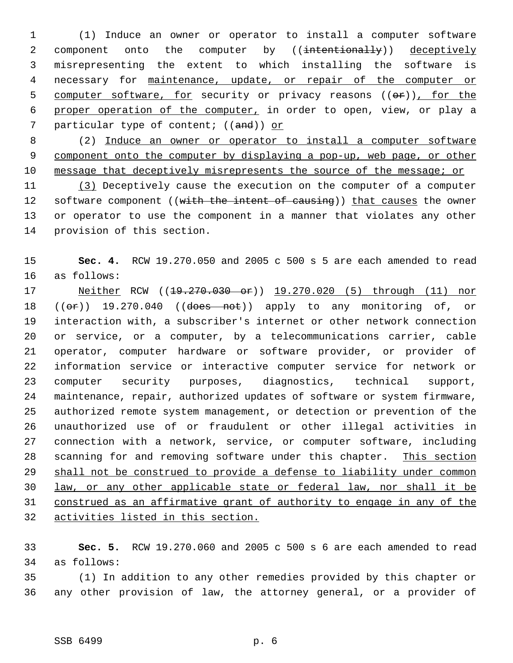(1) Induce an owner or operator to install a computer software 2 component onto the computer by ((intentionally)) deceptively misrepresenting the extent to which installing the software is necessary for maintenance, update, or repair of the computer or 5 computer software, for security or privacy reasons ((or)), for the proper operation of the computer, in order to open, view, or play a 7 particular type of content; ((and)) or

 (2) Induce an owner or operator to install a computer software component onto the computer by displaying a pop-up, web page, or other message that deceptively misrepresents the source of the message; or

 (3) Deceptively cause the execution on the computer of a computer 12 software component ((with the intent of causing)) that causes the owner or operator to use the component in a manner that violates any other provision of this section.

 **Sec. 4.** RCW 19.270.050 and 2005 c 500 s 5 are each amended to read as follows:

17 Neither RCW ((19.270.030 or)) 19.270.020 (5) through (11) nor  $((\theta \cdot \hat{r}))$  19.270.040  $((\theta \cdot \theta \cdot \hat{r}))$  apply to any monitoring of, or interaction with, a subscriber's internet or other network connection or service, or a computer, by a telecommunications carrier, cable operator, computer hardware or software provider, or provider of information service or interactive computer service for network or computer security purposes, diagnostics, technical support, maintenance, repair, authorized updates of software or system firmware, authorized remote system management, or detection or prevention of the unauthorized use of or fraudulent or other illegal activities in connection with a network, service, or computer software, including scanning for and removing software under this chapter. This section shall not be construed to provide a defense to liability under common law, or any other applicable state or federal law, nor shall it be construed as an affirmative grant of authority to engage in any of the activities listed in this section.

 **Sec. 5.** RCW 19.270.060 and 2005 c 500 s 6 are each amended to read as follows:

 (1) In addition to any other remedies provided by this chapter or any other provision of law, the attorney general, or a provider of